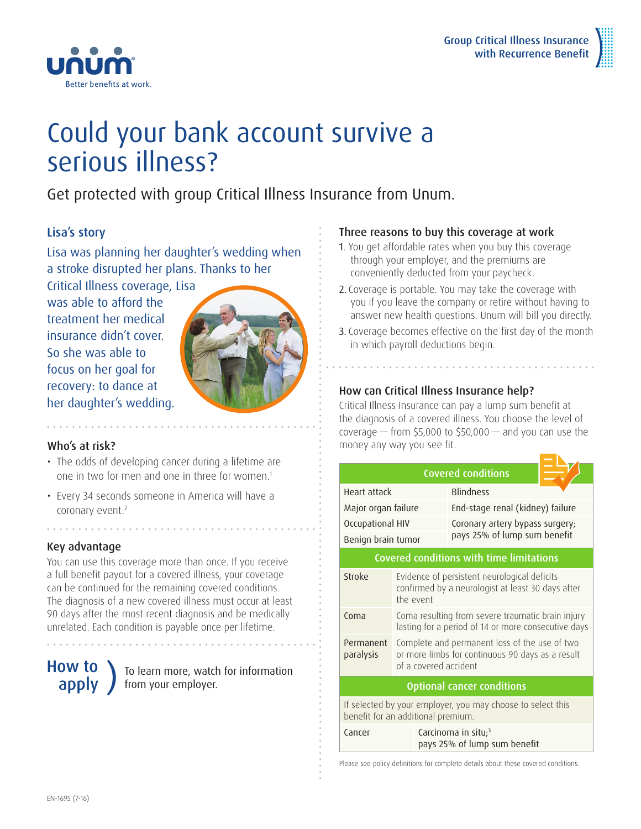

# Could your bank account survive a serious illness?

Get protected with group Critical Illness Insurance from Unum.

# Lisa's story

Lisa was planning her daughter's wedding when a stroke disrupted her plans. Thanks to her

Critical Illness coverage, Lisa was able to afford the treatment her medical insurance didn't cover. So she was able to focus on her goal for recovery: to dance at her daughter's wedding.

Better benefits at work.



# Who's at risk?

- The odds of developing cancer during a lifetime are one in two for men and one in three for women.<sup>1</sup>
- Every 34 seconds someone in America will have a coronary event.<sup>2</sup>

# Key advantage

You can use this coverage more than once. If you receive a full benefit payout for a covered illness, your coverage can be continued for the remaining covered conditions. The diagnosis of a new covered illness must occur at least 90 days after the most recent diagnosis and be medically unrelated. Each condition is payable once per lifetime.

# How to

## **OW TO** To learn more, watch for information<br>**apply** from your employer. from your employer.

### Three reasons to buy this coverage at work

- 1. You get affordable rates when you buy this coverage through your employer, and the premiums are conveniently deducted from your paycheck.
- 2. Coverage is portable. You may take the coverage with you if you leave the company or retire without having to answer new health questions. Unum will bill you directly.
- 3. Coverage becomes effective on the first day of the month in which payroll deductions begin.

# How can Critical Illness Insurance help?

Critical Illness Insurance can pay a lump sum benefit at the diagnosis of a covered illness. You choose the level of coverage  $-$  from \$5,000 to \$50,000  $-$  and you can use the money any way you see fit.

| <b>Covered conditions</b>                                                                         |                                                                                                                            |                                                                 |  |  |
|---------------------------------------------------------------------------------------------------|----------------------------------------------------------------------------------------------------------------------------|-----------------------------------------------------------------|--|--|
| Heart attack                                                                                      |                                                                                                                            | <b>Blindness</b>                                                |  |  |
| Major organ failure                                                                               |                                                                                                                            | End-stage renal (kidney) failure                                |  |  |
| Occupational HIV                                                                                  |                                                                                                                            | Coronary artery bypass surgery;<br>pays 25% of lump sum benefit |  |  |
| Benign brain tumor                                                                                |                                                                                                                            |                                                                 |  |  |
| <b>Covered conditions with time limitations</b>                                                   |                                                                                                                            |                                                                 |  |  |
| Stroke                                                                                            | Evidence of persistent neurological deficits<br>confirmed by a neurologist at least 30 days after<br>the event             |                                                                 |  |  |
| Coma                                                                                              | Coma resulting from severe traumatic brain injury<br>lasting for a period of 14 or more consecutive days                   |                                                                 |  |  |
| Permanent<br>paralysis                                                                            | Complete and permanent loss of the use of two<br>or more limbs for continuous 90 days as a result<br>of a covered accident |                                                                 |  |  |
| <b>Optional cancer conditions</b>                                                                 |                                                                                                                            |                                                                 |  |  |
| If selected by your employer, you may choose to select this<br>benefit for an additional premium. |                                                                                                                            |                                                                 |  |  |
| Cancer                                                                                            |                                                                                                                            | Carcinoma in situ; <sup>3</sup><br>pays 25% of lump sum benefit |  |  |

Please see policy definitions for complete details about these covered conditions.